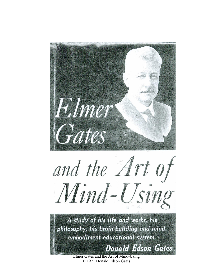

© 1971 Donald Edson Gates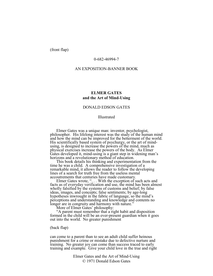(front flap)

### 0-682-46994-7

#### AN EXPOSITION-BANNER BOOK

# **ELMER GATES and the Art of Mind-Using**

## DONALD EDSON GATES

#### Illustrated

Elmer Gates was a unique man: inventor, psychologist, philosopher. His lifelong interest was the study of the human mind and how the mind can be improved for the betterment of the world. His scientifically based system of psychurgy, or the art of mindusing, is designed to increase the powers of the mind, much as physical exercises increase the powers of the body. As Elmer Gates developed it, mind-using is a giant step in widening man's horizons and a revolutionary method of education.

This book details his thinking and experimentation from the time he was a child. A comprehensive investigation of a remarkable mind, it allows the reader to follow the developing lines of a search for truth free from the useless mental accoutrements that centuries have made customary.

Elmer Gates wrote, "... With the exception of such acts and facts as of everyday verification and use, the mind has been almost wholly falsified by the systems of customs and belief; by false ideas, images, and concepts; false sentiments; by age-long hypotheses inwrought in the fabric of language, so the mind's perceptions and understanding and knowledge and contents no longer are in congruity and harmony with nature.'

More of Elmer Gates' philosophy:

"A parent must remember that a right habit and disposition formed in the child will be an ever-present guardian when it goes out into the world. No greater punishment

(back flap)

can come to a parent than to see an adult child suffer heinous punishment for a crime or mistake due to defective nurture and training. No greater joy can come than success traced to early training and example. Give your child love in the true and right

> Elmer Gates and the Art of Mind-Using © 1971 Donald Edson Gates